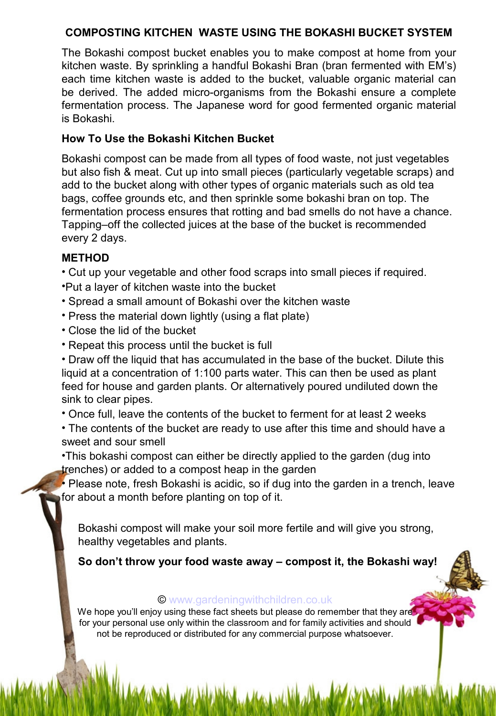### **COMPOSTING KITCHEN WASTE USING THE BOKASHI BUCKET SYSTEM**

The Bokashi compost bucket enables you to make compost at home from your kitchen waste. By sprinkling a handful Bokashi Bran (bran fermented with EM's) each time kitchen waste is added to the bucket, valuable organic material can be derived. The added micro-organisms from the Bokashi ensure a complete fermentation process. The Japanese word for good fermented organic material is Bokashi.

### **How To Use the Bokashi Kitchen Bucket**

Bokashi compost can be made from all types of food waste, not just vegetables but also fish & meat. Cut up into small pieces (particularly vegetable scraps) and add to the bucket along with other types of organic materials such as old tea bags, coffee grounds etc, and then sprinkle some bokashi bran on top. The fermentation process ensures that rotting and bad smells do not have a chance. Tapping–off the collected juices at the base of the bucket is recommended every 2 days.

### **METHOD**

- Cut up your vegetable and other food scraps into small pieces if required.
- •Put a layer of kitchen waste into the bucket
- Spread a small amount of Bokashi over the kitchen waste
- Press the material down lightly (using a flat plate)
- Close the lid of the bucket
- Repeat this process until the bucket is full

• Draw off the liquid that has accumulated in the base of the bucket. Dilute this liquid at a concentration of 1:100 parts water. This can then be used as plant feed for house and garden plants. Or alternatively poured undiluted down the sink to clear pipes.

• Once full, leave the contents of the bucket to ferment for at least 2 weeks

• The contents of the bucket are ready to use after this time and should have a sweet and sour smell

•This bokashi compost can either be directly applied to the garden (dug into trenches) or added to a compost heap in the garden

• Please note, fresh Bokashi is acidic, so if dug into the garden in a trench, leave for about a month before planting on top of it.

Bokashi compost will make your soil more fertile and will give you strong, healthy vegetables and plants.

**So don't throw your food waste away – compost it, the Bokashi way!**

#### © [www.gardeningwithchildren.co.uk](http://gardeningwithchildren.co.uk/)

We hope you'll enjoy using these fact sheets but please do remember that they are for your personal use only within the classroom and for family activities and should not be reproduced or distributed for any commercial purpose whatsoever.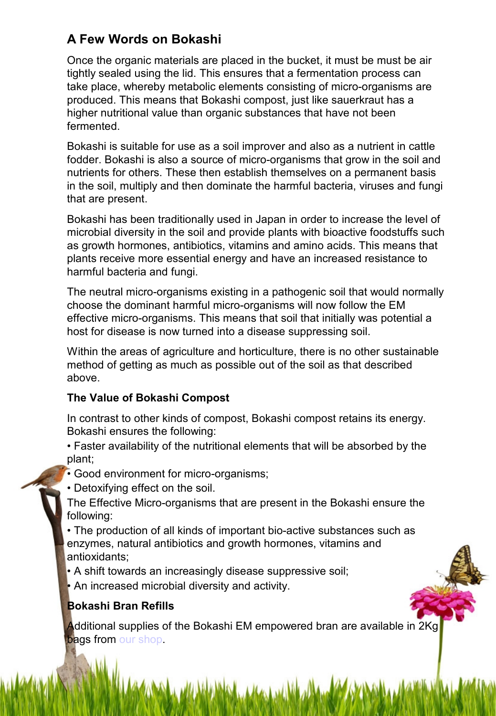# **A Few Words on Bokashi**

Once the organic materials are placed in the bucket, it must be must be air tightly sealed using the lid. This ensures that a fermentation process can take place, whereby metabolic elements consisting of micro-organisms are produced. This means that Bokashi compost, just like sauerkraut has a higher nutritional value than organic substances that have not been fermented.

Bokashi is suitable for use as a soil improver and also as a nutrient in cattle fodder. Bokashi is also a source of micro-organisms that grow in the soil and nutrients for others. These then establish themselves on a permanent basis in the soil, multiply and then dominate the harmful bacteria, viruses and fungi that are present.

Bokashi has been traditionally used in Japan in order to increase the level of microbial diversity in the soil and provide plants with bioactive foodstuffs such as growth hormones, antibiotics, vitamins and amino acids. This means that plants receive more essential energy and have an increased resistance to harmful bacteria and fungi.

The neutral micro-organisms existing in a pathogenic soil that would normally choose the dominant harmful micro-organisms will now follow the EM effective micro-organisms. This means that soil that initially was potential a host for disease is now turned into a disease suppressing soil.

Within the areas of agriculture and horticulture, there is no other sustainable method of getting as much as possible out of the soil as that described above.

## **The Value of Bokashi Compost**

In contrast to other kinds of compost, Bokashi compost retains its energy. Bokashi ensures the following:

- Faster availability of the nutritional elements that will be absorbed by the plant;
- Good environment for micro-organisms;
- Detoxifying effect on the soil.
- The Effective Micro-organisms that are present in the Bokashi ensure the following:
- The production of all kinds of important bio-active substances such as enzymes, natural antibiotics and growth hormones, vitamins and antioxidants;
- A shift towards an increasingly disease suppressive soil;
- An increased microbial diversity and activity.

## **Bokashi Bran Refills**

Additional supplies of the Bokashi EM empowered bran are available in 2Kg bags from [our shop.](http://www.recycleworks.co.uk/em-bokashi-wheat-bran-c-277-p-1-pr-16181.html)